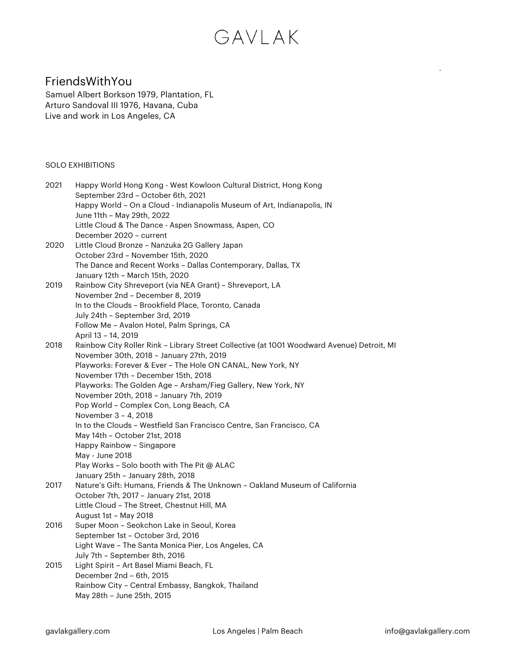### FriendsWithYou

Samuel Albert Borkson 1979, Plantation, FL Arturo Sandoval III 1976, Havana, Cuba Live and work in Los Angeles, CA

### SOLO EXHIBITIONS

| 2021 | Happy World Hong Kong - West Kowloon Cultural District, Hong Kong<br>September 23rd - October 6th, 2021          |
|------|------------------------------------------------------------------------------------------------------------------|
|      | Happy World - On a Cloud - Indianapolis Museum of Art, Indianapolis, IN<br>June 11th - May 29th, 2022            |
|      | Little Cloud & The Dance - Aspen Snowmass, Aspen, CO                                                             |
|      | December 2020 - current                                                                                          |
| 2020 | Little Cloud Bronze - Nanzuka 2G Gallery Japan                                                                   |
|      | October 23rd - November 15th, 2020                                                                               |
|      | The Dance and Recent Works - Dallas Contemporary, Dallas, TX                                                     |
|      | January 12th - March 15th, 2020                                                                                  |
| 2019 | Rainbow City Shreveport (via NEA Grant) - Shreveport, LA                                                         |
|      | November 2nd - December 8, 2019                                                                                  |
|      | In to the Clouds - Brookfield Place, Toronto, Canada                                                             |
|      | July 24th - September 3rd, 2019                                                                                  |
|      | Follow Me - Avalon Hotel, Palm Springs, CA<br>April 13 - 14, 2019                                                |
| 2018 | Rainbow City Roller Rink - Library Street Collective (at 1001 Woodward Avenue) Detroit, MI                       |
|      | November 30th, 2018 - January 27th, 2019                                                                         |
|      | Playworks: Forever & Ever - The Hole ON CANAL, New York, NY                                                      |
|      | November 17th - December 15th, 2018                                                                              |
|      | Playworks: The Golden Age - Arsham/Fieg Gallery, New York, NY                                                    |
|      | November 20th, 2018 - January 7th, 2019                                                                          |
|      | Pop World - Complex Con, Long Beach, CA                                                                          |
|      | November 3 - 4, 2018                                                                                             |
|      | In to the Clouds - Westfield San Francisco Centre, San Francisco, CA                                             |
|      | May 14th - October 21st, 2018                                                                                    |
|      | Happy Rainbow - Singapore                                                                                        |
|      | May - June 2018                                                                                                  |
|      | Play Works - Solo booth with The Pit @ ALAC                                                                      |
|      | January 25th - January 28th, 2018<br>Nature's Gift: Humans, Friends & The Unknown - Oakland Museum of California |
| 2017 | October 7th, 2017 - January 21st, 2018                                                                           |
|      | Little Cloud - The Street, Chestnut Hill, MA                                                                     |
|      | August 1st - May 2018                                                                                            |
| 2016 | Super Moon - Seokchon Lake in Seoul, Korea                                                                       |
|      | September 1st - October 3rd, 2016                                                                                |
|      | Light Wave - The Santa Monica Pier, Los Angeles, CA                                                              |
|      | July 7th - September 8th, 2016                                                                                   |
| 2015 | Light Spirit - Art Basel Miami Beach, FL                                                                         |
|      | December 2nd - 6th, 2015                                                                                         |
|      | Rainbow City - Central Embassy, Bangkok, Thailand                                                                |
|      | May 28th - June 25th, 2015                                                                                       |
|      |                                                                                                                  |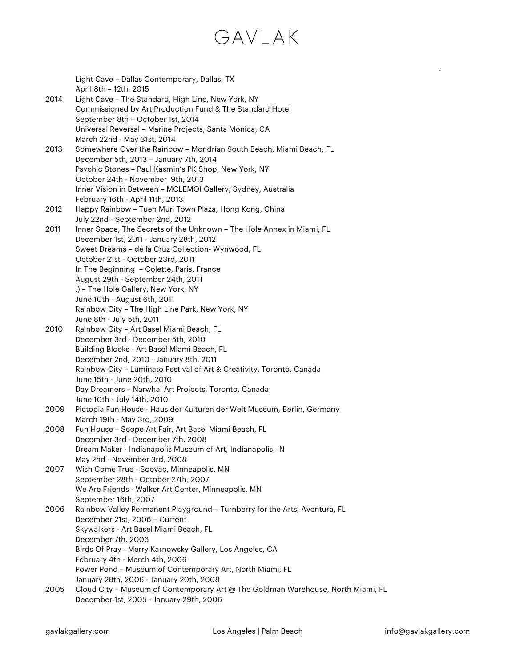|      | Light Cave - Dallas Contemporary, Dallas, TX                                     |
|------|----------------------------------------------------------------------------------|
|      | April 8th - 12th, 2015                                                           |
| 2014 | Light Cave - The Standard, High Line, New York, NY                               |
|      | Commissioned by Art Production Fund & The Standard Hotel                         |
|      | September 8th - October 1st, 2014                                                |
|      | Universal Reversal - Marine Projects, Santa Monica, CA                           |
|      | March 22nd - May 31st, 2014                                                      |
| 2013 | Somewhere Over the Rainbow - Mondrian South Beach, Miami Beach, FL               |
|      | December 5th, 2013 - January 7th, 2014                                           |
|      | Psychic Stones - Paul Kasmin's PK Shop, New York, NY                             |
|      | October 24th - November 9th, 2013                                                |
|      | Inner Vision in Between - MCLEMOI Gallery, Sydney, Australia                     |
|      | February 16th - April 11th, 2013                                                 |
| 2012 | Happy Rainbow - Tuen Mun Town Plaza, Hong Kong, China                            |
|      | July 22nd - September 2nd, 2012                                                  |
| 2011 | Inner Space, The Secrets of the Unknown - The Hole Annex in Miami, FL            |
|      | December 1st, 2011 - January 28th, 2012                                          |
|      | Sweet Dreams - de la Cruz Collection- Wynwood, FL                                |
|      | October 21st - October 23rd, 2011                                                |
|      | In The Beginning - Colette, Paris, France                                        |
|      | August 29th - September 24th, 2011                                               |
|      | :) - The Hole Gallery, New York, NY                                              |
|      | June 10th - August 6th, 2011                                                     |
|      | Rainbow City - The High Line Park, New York, NY                                  |
|      | June 8th - July 5th, 2011                                                        |
| 2010 | Rainbow City - Art Basel Miami Beach, FL                                         |
|      | December 3rd - December 5th, 2010                                                |
|      | Building Blocks - Art Basel Miami Beach, FL                                      |
|      | December 2nd, 2010 - January 8th, 2011                                           |
|      | Rainbow City - Luminato Festival of Art & Creativity, Toronto, Canada            |
|      | June 15th - June 20th, 2010                                                      |
|      | Day Dreamers - Narwhal Art Projects, Toronto, Canada                             |
|      | June 10th - July 14th, 2010                                                      |
| 2009 | Pictopia Fun House - Haus der Kulturen der Welt Museum, Berlin, Germany          |
|      | March 19th - May 3rd, 2009                                                       |
| 2008 | Fun House - Scope Art Fair, Art Basel Miami Beach, FL                            |
|      | December 3rd - December 7th, 2008                                                |
|      | Dream Maker - Indianapolis Museum of Art, Indianapolis, IN                       |
|      | May 2nd - November 3rd, 2008                                                     |
| 2007 | Wish Come True - Soovac, Minneapolis, MN                                         |
|      | September 28th - October 27th, 2007                                              |
|      | We Are Friends - Walker Art Center, Minneapolis, MN                              |
|      | September 16th, 2007                                                             |
| 2006 | Rainbow Valley Permanent Playground - Turnberry for the Arts, Aventura, FL       |
|      | December 21st, 2006 - Current                                                    |
|      | Skywalkers - Art Basel Miami Beach, FL                                           |
|      | December 7th, 2006                                                               |
|      | Birds Of Pray - Merry Karnowsky Gallery, Los Angeles, CA                         |
|      | February 4th - March 4th, 2006                                                   |
|      | Power Pond - Museum of Contemporary Art, North Miami, FL                         |
|      | January 28th, 2006 - January 20th, 2008                                          |
| 2005 | Cloud City - Museum of Contemporary Art @ The Goldman Warehouse, North Miami, FL |
|      | December 1st, 2005 - January 29th, 2006                                          |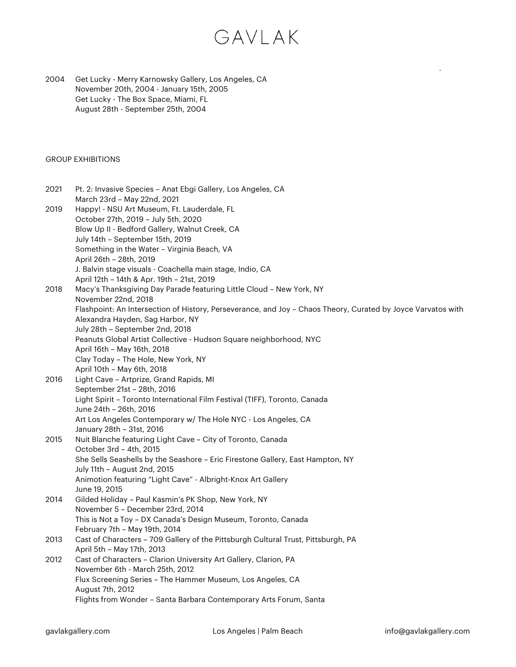2004 Get Lucky - Merry Karnowsky Gallery, Los Angeles, CA November 20th, 2004 - January 15th, 2005 Get Lucky - The Box Space, Miami, FL August 28th - September 25th, 2004

### GROUP EXHIBITIONS

| 2021 | Pt. 2: Invasive Species - Anat Ebgi Gallery, Los Angeles, CA<br>March 23rd - May 22nd, 2021                                                                                                                                                               |
|------|-----------------------------------------------------------------------------------------------------------------------------------------------------------------------------------------------------------------------------------------------------------|
| 2019 | Happy! - NSU Art Museum, Ft. Lauderdale, FL<br>October 27th, 2019 - July 5th, 2020<br>Blow Up II - Bedford Gallery, Walnut Creek, CA<br>July 14th - September 15th, 2019<br>Something in the Water - Virginia Beach, VA<br>April 26th - 28th, 2019        |
| 2018 | J. Balvin stage visuals - Coachella main stage, Indio, CA<br>April 12th - 14th & Apr. 19th - 21st, 2019<br>Macy's Thanksgiving Day Parade featuring Little Cloud - New York, NY<br>November 22nd, 2018                                                    |
|      | Flashpoint: An Intersection of History, Perseverance, and Joy - Chaos Theory, Curated by Joyce Varvatos with<br>Alexandra Hayden, Sag Harbor, NY<br>July 28th - September 2nd, 2018<br>Peanuts Global Artist Collective - Hudson Square neighborhood, NYC |
|      | April 16th - May 16th, 2018<br>Clay Today - The Hole, New York, NY<br>April 10th - May 6th, 2018                                                                                                                                                          |
| 2016 | Light Cave - Artprize, Grand Rapids, MI<br>September 21st - 28th, 2016<br>Light Spirit - Toronto International Film Festival (TIFF), Toronto, Canada<br>June 24th - 26th, 2016<br>Art Los Angeles Contemporary w/ The Hole NYC - Los Angeles, CA          |
| 2015 | January 28th - 31st, 2016<br>Nuit Blanche featuring Light Cave - City of Toronto, Canada<br>October 3rd - 4th, 2015                                                                                                                                       |
|      | She Sells Seashells by the Seashore - Eric Firestone Gallery, East Hampton, NY<br>July 11th - August 2nd, 2015<br>Animotion featuring "Light Cave" - Albright-Knox Art Gallery<br>June 19, 2015                                                           |
| 2014 | Gilded Holiday - Paul Kasmin's PK Shop, New York, NY<br>November 5 - December 23rd, 2014<br>This is Not a Toy - DX Canada's Design Museum, Toronto, Canada<br>February 7th - May 19th, 2014                                                               |
| 2013 | Cast of Characters - 709 Gallery of the Pittsburgh Cultural Trust, Pittsburgh, PA<br>April 5th - May 17th, 2013                                                                                                                                           |
| 2012 | Cast of Characters - Clarion University Art Gallery, Clarion, PA<br>November 6th - March 25th, 2012<br>Flux Screening Series - The Hammer Museum, Los Angeles, CA                                                                                         |
|      | August 7th, 2012<br>Flights from Wonder - Santa Barbara Contemporary Arts Forum, Santa                                                                                                                                                                    |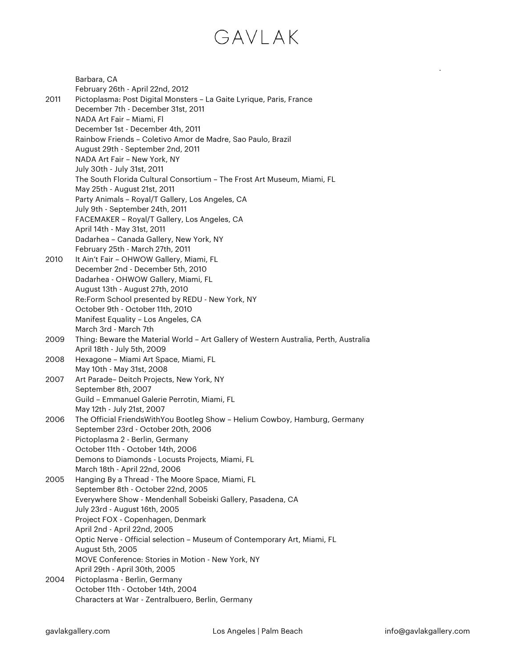|      | Barbara, CA                                                                                      |
|------|--------------------------------------------------------------------------------------------------|
|      | February 26th - April 22nd, 2012                                                                 |
| 2011 | Pictoplasma: Post Digital Monsters - La Gaite Lyrique, Paris, France                             |
|      | December 7th - December 31st, 2011                                                               |
|      | NADA Art Fair - Miami, Fl                                                                        |
|      | December 1st - December 4th, 2011<br>Rainbow Friends - Coletivo Amor de Madre, Sao Paulo, Brazil |
|      |                                                                                                  |
|      | August 29th - September 2nd, 2011<br>NADA Art Fair - New York, NY                                |
|      | July 30th - July 31st, 2011                                                                      |
|      | The South Florida Cultural Consortium - The Frost Art Museum, Miami, FL                          |
|      | May 25th - August 21st, 2011                                                                     |
|      | Party Animals - Royal/T Gallery, Los Angeles, CA                                                 |
|      | July 9th - September 24th, 2011                                                                  |
|      | FACEMAKER - Royal/T Gallery, Los Angeles, CA                                                     |
|      | April 14th - May 31st, 2011                                                                      |
|      | Dadarhea - Canada Gallery, New York, NY                                                          |
|      | February 25th - March 27th, 2011                                                                 |
| 2010 | It Ain't Fair - OHWOW Gallery, Miami, FL                                                         |
|      | December 2nd - December 5th, 2010                                                                |
|      | Dadarhea - OHWOW Gallery, Miami, FL                                                              |
|      | August 13th - August 27th, 2010                                                                  |
|      | Re:Form School presented by REDU - New York, NY                                                  |
|      | October 9th - October 11th, 2010                                                                 |
|      | Manifest Equality - Los Angeles, CA                                                              |
|      | March 3rd - March 7th                                                                            |
| 2009 | Thing: Beware the Material World - Art Gallery of Western Australia, Perth, Australia            |
|      | April 18th - July 5th, 2009                                                                      |
| 2008 | Hexagone - Miami Art Space, Miami, FL                                                            |
|      | May 10th - May 31st, 2008                                                                        |
| 2007 | Art Parade- Deitch Projects, New York, NY                                                        |
|      | September 8th, 2007                                                                              |
|      | Guild - Emmanuel Galerie Perrotin, Miami, FL                                                     |
|      | May 12th - July 21st, 2007                                                                       |
| 2006 | The Official FriendsWithYou Bootleg Show - Helium Cowboy, Hamburg, Germany                       |
|      | September 23rd - October 20th, 2006                                                              |
|      | Pictoplasma 2 - Berlin, Germany                                                                  |
|      | October 11th - October 14th, 2006                                                                |
|      | Demons to Diamonds - Locusts Projects, Miami, FL                                                 |
| 2005 | March 18th - April 22nd, 2006<br>Hanging By a Thread - The Moore Space, Miami, FL                |
|      | September 8th - October 22nd, 2005                                                               |
|      | Everywhere Show - Mendenhall Sobeiski Gallery, Pasadena, CA                                      |
|      | July 23rd - August 16th, 2005                                                                    |
|      | Project FOX - Copenhagen, Denmark                                                                |
|      | April 2nd - April 22nd, 2005                                                                     |
|      | Optic Nerve - Official selection - Museum of Contemporary Art, Miami, FL                         |
|      | August 5th, 2005                                                                                 |
|      | MOVE Conference: Stories in Motion - New York, NY                                                |
|      | April 29th - April 30th, 2005                                                                    |
| 2004 | Pictoplasma - Berlin, Germany                                                                    |
|      | October 11th - October 14th, 2004                                                                |
|      | Characters at War - Zentralbuero, Berlin, Germany                                                |